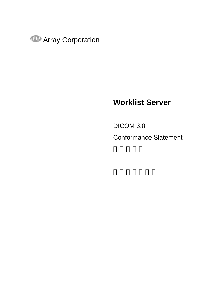

## **Worklist Server**

DICOM 3.0

Conformance Statement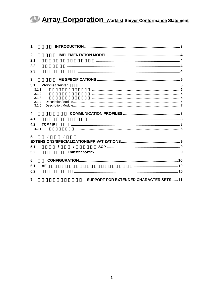| $\overline{2}$         |                                               |  |
|------------------------|-----------------------------------------------|--|
| 2.1                    |                                               |  |
| 2.2                    |                                               |  |
| 2.3                    |                                               |  |
| 3                      |                                               |  |
| 3.1                    | <b>Worklist Server</b>                        |  |
| 3.1.1                  |                                               |  |
| 3.1.2<br>3.1.3         |                                               |  |
| 3.1.4                  |                                               |  |
| 3.1.5                  |                                               |  |
| $\boldsymbol{\Lambda}$ |                                               |  |
| 4.1                    |                                               |  |
| 4.2                    | TCP/IP                                        |  |
| 4.2.1                  |                                               |  |
| 5                      |                                               |  |
|                        |                                               |  |
| 5.1                    |                                               |  |
| 5.2                    |                                               |  |
| 6                      |                                               |  |
| 6.1                    | <b>AE</b>                                     |  |
| 6.2                    |                                               |  |
| 7                      | <b>SUPPORT FOR EXTENDED CHARACTER SETS 11</b> |  |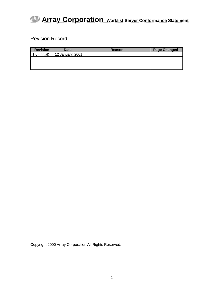### Revision Record

| <b>Revision</b> | <b>Date</b>      | Reason | <b>Page Changed</b> |
|-----------------|------------------|--------|---------------------|
| $1.0$ (Initial) | 12 January, 2001 |        |                     |
|                 |                  |        |                     |
|                 |                  |        |                     |
|                 |                  |        |                     |

Copyright 2000 Array Corporation All Rights Reserved.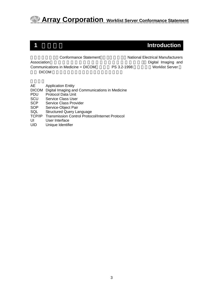### <span id="page-3-0"></span>**1 1 Introduction**

この適合性宣言 Conformance Statement)は、N National Electrical Manufacturers Association **Exercists Transfer and Exercise Security** Exercise Contract Digital Imaging and

Communications in Medicine = DICOM PS 3.2-1998 Worklist Server DICOM

AE Application Entity

DICOM Digital Imaging and Communications in Medicine

PDU Protocol Data Unit

SCU Service Class User

SCP Service Class Provider

SOP Service-Object Pair

SQL Structured Query Language

TCP/IP Transmission Control Protocol/Internet Protocol

UI User Interface

UID Unique Identifier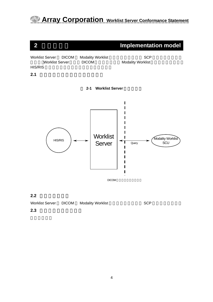<span id="page-4-0"></span>

 $2.2$ 



**2.3** 実世界活動の順序制御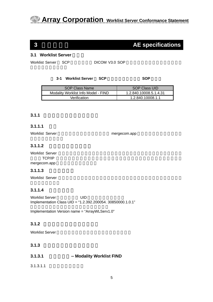### <span id="page-5-0"></span>**3 AE specifications**

#### **3.1 Worklist Server**

Worklist Server SCP DICOM V3.0 SOP

#### **3-1 Worklist Server SCP SOP**

| SOP Class Name                      | <b>SOP Class UID</b>   |
|-------------------------------------|------------------------|
| Modality Worklist Info Model - FIND | 1.2.840.10008.5.1.4.31 |
| Verification                        | 1.2.840.10008.1.1      |

#### **3.1.1** アソシエーション確立の方針

#### **3.1.1.1** 概要

Worklist Server が使用する最大PDUサイズは mergecom.app の中で設定可能で,4Kバ

#### **3.1.1.2** アソシエーションの数

Worklist Server TCP/IP レベルでの場合を使用しているようになります。 mergecom.app

#### **3.1.1.3** 非同期の性質

Worklist Server

### **3.1.1.4** 実装識別情報

Worklist Server **WORKLIST** Implementation Class UID = "1.2.392.200054. 30850000.1.0.1"

Implementation Version name = "ArrayWLServ1.0"

### **3.1.2** アソシエーション開始の方針

Worklist Server

### **3.1.3** アソシエーション受諾の方針

| 3.1.3.1 | <b>Modality Worklist FIND</b> |
|---------|-------------------------------|
|---------|-------------------------------|

 $3.1.3.1.1$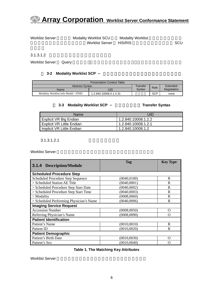<span id="page-6-0"></span>

Worklist Server Modality Worklist SCU Modality Worklist Worklist Server HIS/RIS **Notable SCU** 

 $3.1.3.1.2$ 

Worklist Server Query

#### **3-2 Modality Worklist SCP**

| <b>Presentation Context Table</b>   |                        |        |            |             |  |
|-------------------------------------|------------------------|--------|------------|-------------|--|
| <b>Abstract Syntax</b>              | Transfer               | Role   | Extended   |             |  |
| Name                                | UID                    | Syntax |            | Negotiation |  |
| Modality Worklist Info Model - FIND | 1.2.840.10008.5.1.4.31 |        | <b>SCP</b> | none        |  |

#### <span id="page-6-1"></span> **3-3** Modality Worklist SCP **Transfer Syntax**

| Name                             | UID                 |
|----------------------------------|---------------------|
| Explicit VR Big Endian           | 1.2.840.10008.1.2.2 |
| <b>Explicit VR Little Endian</b> | 1.2.840.10008.1.2.1 |
| Implicit VR Little Endian        | 1.2.840.10008.1.2   |

 $3.1.3.1.2.1$ 

Worklist Server

| <b>3.1.4 Description/Module</b>         | Tag          | <b>Key Type</b>  |
|-----------------------------------------|--------------|------------------|
| <b>Scheduled Procedure Step</b>         |              |                  |
| Scheduled Procedure Step Sequence       | (0040, 0100) | R                |
| > Scheduled Station AE Title            | (0040,0001)  | R                |
| > Scheduled Procedure Step Start Date   | (0040,0002)  | R                |
| > Scheduled Procedure Step Start Time   | (0040,0003)  | R                |
| $>$ Modality                            | (0008,0060)  | R                |
| > Scheduled Performing Physician's Name | (0040,0006)  | R                |
| <b>Imaging Service Request</b>          |              |                  |
| <b>Accession Number</b>                 | (0008, 0050) | O                |
| Referring Physician's Name              | (0008,0090)  | $\left( \right)$ |
| <b>Patient Identification</b>           |              |                  |
| Patient's Name                          | (0010, 0010) | R                |
| Patient ID                              | (0010, 0020) | R                |
| <b>Patient Demographic</b>              |              |                  |
| Patient's Birth Date                    | (0010, 0030) | ∩                |
| Patient's Sex                           | (0010, 0040) | 0                |

#### **Table 1. The Matching Key Attributes**

Worklist Server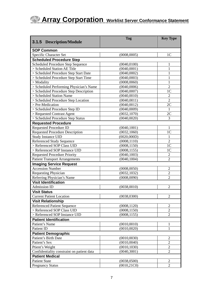<span id="page-7-0"></span>

| <b>3.1.5 Description/Module</b>            | Tag          | <b>Key Type</b> |
|--------------------------------------------|--------------|-----------------|
| <b>SOP Common</b>                          |              |                 |
| Specific Character Set                     | (0008, 0005) | 1 <sub>C</sub>  |
| <b>Scheduled Procedure Step</b>            |              |                 |
| Scheduled Procedure Step Sequence          | (0040, 0100) |                 |
| > Scheduled Station AE Title               | (0040,0001)  | 1               |
| > Scheduled Procedure Step Start Date      | (0040,0002)  | 1               |
| > Scheduled Procedure Step Start Time      | (0040,0003)  | 1               |
| $>$ Modality                               | (0008, 0060) | 1               |
| > Scheduled Performing Physician's Name    | (0040,0006)  | $\overline{2}$  |
| > Scheduled Procedure Step Description     | (0040,0007)  | 1 <sup>C</sup>  |
| > Scheduled Station Name                   | (0040, 0010) | $\overline{2}$  |
| > Scheduled Procedure Step Location        | (0040, 0011) | $\overline{2}$  |
| > Pre-Medication                           | (0040, 0012) | 2C              |
| > Scheduled Procedure Step ID              | (0040,0009)  | 1               |
| > Requested Contrast Agent                 | (0032, 1070) | 2C              |
| > Scheduled Procedure Step Status          | (0040, 0020) | 3               |
| <b>Requested Procedure</b>                 |              |                 |
| <b>Requested Procedure ID</b>              | (0040, 1001) | 1               |
| <b>Requested Procedure Description</b>     | (0032, 1060) | 1 <sup>C</sup>  |
| <b>Study Instance UID</b>                  | (0020,000D)  | 1               |
| <b>Referenced Study Sequence</b>           | (0008, 1110) | $\overline{2}$  |
| > Referenced SOP Class UID                 | (0008, 1150) | 1 <sup>C</sup>  |
| > Referenced SOP Instance UID              | (0008, 1155) | 1C              |
| <b>Requested Procedure Priority</b>        | (0040, 1003) | $\overline{2}$  |
| <b>Patient Transport Arrangements</b>      | (0040, 1004) | $\overline{2}$  |
| <b>Imaging Service Request</b>             |              |                 |
| <b>Accession Number</b>                    | (0008, 0050) | $\overline{2}$  |
| <b>Requesting Physician</b>                | (0032, 1032) | $\overline{2}$  |
| Referring Physician's Name                 | (0008,0090)  | $\overline{2}$  |
| <b>Visit Identification</b>                |              |                 |
| <b>Admission ID</b>                        | (0038, 0010) | $\overline{2}$  |
| <b>Visit Status</b>                        |              |                 |
| <b>Current Patient Location</b>            | (0038, 0300) | $\overline{2}$  |
| <b>Visit Relationship</b>                  |              |                 |
| <b>Referenced Patient Sequence</b>         | (0008, 1120) | 2               |
| > Referenced SOP Class UID                 | (0008, 1150) | 2               |
| > Referenced SOP Instance UID              | (0008, 1155) | $\overline{2}$  |
| <b>Patient Identification</b>              |              |                 |
| Patient's Name                             | (0010, 0010) | 1               |
| Patient ID                                 | (0010, 0020) | 1               |
| <b>Patient Demographic</b>                 |              |                 |
| Patient's Birth Date                       | (0010, 0030) | $\overline{2}$  |
| Patient's Sex                              | (0010, 0040) | 2               |
| Ptient's Weight                            | (0010, 1030) | $\mathfrak{2}$  |
| Confidentiality constraint on patient data | (0040, 3001) | $\overline{2}$  |
| <b>Patient Medical</b>                     |              |                 |
| <b>Patient State</b>                       | (0038, 0500) | $\overline{2}$  |
| <b>Pregnancy Status</b>                    | (0010, 21C0) | $\overline{2}$  |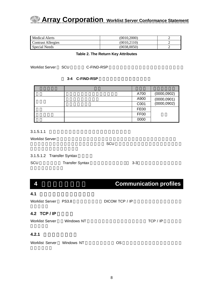<span id="page-8-0"></span>

| Medical Alerts     | (0010.2000) |  |
|--------------------|-------------|--|
| Contrast Allergies | (0010.2110) |  |
| Special Needs      | (0038.0050) |  |

#### **Table 2. The Return Key Attributes**

Worklist Server SCU C-FIND-RSP

**3-4 C-FIND-RSP** 

|  | A700             | (0000, 0902)                     |
|--|------------------|----------------------------------|
|  | A900             | $(0000, 0901)$<br>$(0000, 0902)$ |
|  | C001             |                                  |
|  | <b>FE00</b>      |                                  |
|  | FF <sub>00</sub> |                                  |
|  | 0000             |                                  |

 $3.1.5.1.1$ 

Worklist Server New Yorklist Server New Yorklist Server

 $SCU$ 

|     | 3.1.5.1.2 Transfer Syntax |         |  |
|-----|---------------------------|---------|--|
| SCU | <b>Transfer Syntax</b>    | $3 - 3$ |  |

### **4 Communication profiles**

| 4.1                        |              |                |          |
|----------------------------|--------------|----------------|----------|
| <b>Worklist Server</b>     | <b>PS3.8</b> | DICOM TCP / IP |          |
| 4.2 TCP/IP                 |              |                |          |
| <b>Worklist Server</b>     | Windows NT   |                | TCP / IP |
| 4.2.1                      |              |                |          |
| Worklist Server Windows NT |              | OS             |          |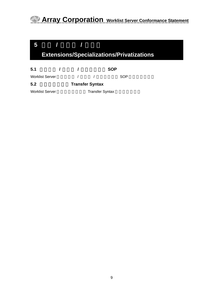<span id="page-9-0"></span>

| <b>Extensions/Specializations/Privatizations</b> |  |                        |                        |            |     |  |
|--------------------------------------------------|--|------------------------|------------------------|------------|-----|--|
| 5.1                                              |  | $\prime$               |                        | <b>SOP</b> |     |  |
| <b>Worklist Server</b>                           |  |                        |                        |            | SOP |  |
| 5.2                                              |  | <b>Transfer Syntax</b> |                        |            |     |  |
| <b>Worklist Server</b>                           |  |                        | <b>Transfer Syntax</b> |            |     |  |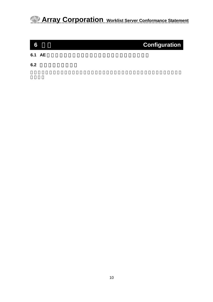<span id="page-10-0"></span>

| 6      | <b>Configuration</b> |
|--------|----------------------|
| 6.1 AE |                      |

**6.2** 設定可能なパラメタ